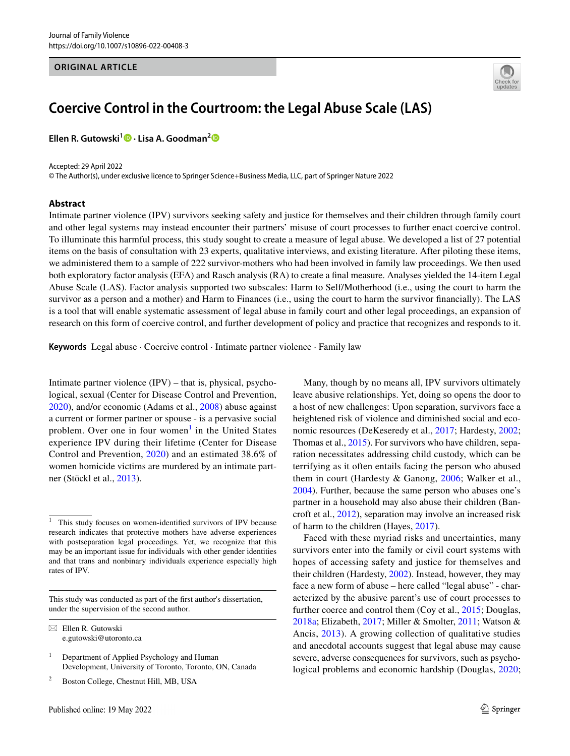#### **ORIGINAL ARTICLE**



# **Coercive Control in the Courtroom: the Legal Abuse Scale (LAS)**

**Ellen R. Gutowski<sup>1</sup>  [·](http://orcid.org/0000-0001-8314-9078) Lisa A. Goodman[2](http://orcid.org/0000-0002-1195-952X)**

Accepted: 29 April 2022 © The Author(s), under exclusive licence to Springer Science+Business Media, LLC, part of Springer Nature 2022

#### **Abstract**

Intimate partner violence (IPV) survivors seeking safety and justice for themselves and their children through family court and other legal systems may instead encounter their partners' misuse of court processes to further enact coercive control. To illuminate this harmful process, this study sought to create a measure of legal abuse. We developed a list of 27 potential items on the basis of consultation with 23 experts, qualitative interviews, and existing literature. After piloting these items, we administered them to a sample of 222 survivor-mothers who had been involved in family law proceedings. We then used both exploratory factor analysis (EFA) and Rasch analysis (RA) to create a fnal measure. Analyses yielded the 14-item Legal Abuse Scale (LAS). Factor analysis supported two subscales: Harm to Self/Motherhood (i.e., using the court to harm the survivor as a person and a mother) and Harm to Finances (i.e., using the court to harm the survivor fnancially). The LAS is a tool that will enable systematic assessment of legal abuse in family court and other legal proceedings, an expansion of research on this form of coercive control, and further development of policy and practice that recognizes and responds to it.

**Keywords** Legal abuse · Coercive control · Intimate partner violence · Family law

Intimate partner violence (IPV) – that is, physical, psychological, sexual (Center for Disease Control and Prevention, [2020](#page-13-0)), and/or economic (Adams et al., [2008](#page-13-1)) abuse against a current or former partner or spouse - is a pervasive social problem. Over one in four women<sup>[1](#page-0-0)</sup> in the United States experience IPV during their lifetime (Center for Disease Control and Prevention, [2020](#page-13-0)) and an estimated 38.6% of women homicide victims are murdered by an intimate partner (Stöckl et al., [2013](#page-14-0)).

This study was conducted as part of the frst author's dissertation, under the supervision of the second author.

 $\boxtimes$  Ellen R. Gutowski e.gutowski@utoronto.ca

<sup>2</sup> Boston College, Chestnut Hill, MB, USA

Many, though by no means all, IPV survivors ultimately leave abusive relationships. Yet, doing so opens the door to a host of new challenges: Upon separation, survivors face a heightened risk of violence and diminished social and economic resources (DeKeseredy et al., [2017](#page-13-2); Hardesty, [2002](#page-13-3); Thomas et al., [2015\)](#page-14-1). For survivors who have children, separation necessitates addressing child custody, which can be terrifying as it often entails facing the person who abused them in court (Hardesty & Ganong, [2006](#page-13-4); Walker et al., [2004](#page-14-2)). Further, because the same person who abuses one's partner in a household may also abuse their children (Bancroft et al., [2012\)](#page-13-5), separation may involve an increased risk of harm to the children (Hayes, [2017](#page-14-3)).

Faced with these myriad risks and uncertainties, many survivors enter into the family or civil court systems with hopes of accessing safety and justice for themselves and their children (Hardesty, [2002\)](#page-13-3). Instead, however, they may face a new form of abuse – here called "legal abuse" - characterized by the abusive parent's use of court processes to further coerce and control them (Coy et al., [2015;](#page-13-6) Douglas, [2018a;](#page-13-7) Elizabeth, [2017](#page-13-8); Miller & Smolter, [2011;](#page-14-4) Watson & Ancis, [2013\)](#page-15-0). A growing collection of qualitative studies and anecdotal accounts suggest that legal abuse may cause severe, adverse consequences for survivors, such as psychological problems and economic hardship (Douglas, [2020](#page-13-9);

<span id="page-0-0"></span><sup>1</sup> This study focuses on women-identifed survivors of IPV because research indicates that protective mothers have adverse experiences with postseparation legal proceedings. Yet, we recognize that this may be an important issue for individuals with other gender identities and that trans and nonbinary individuals experience especially high rates of IPV.

<sup>&</sup>lt;sup>1</sup> Department of Applied Psychology and Human Development, University of Toronto, Toronto, ON, Canada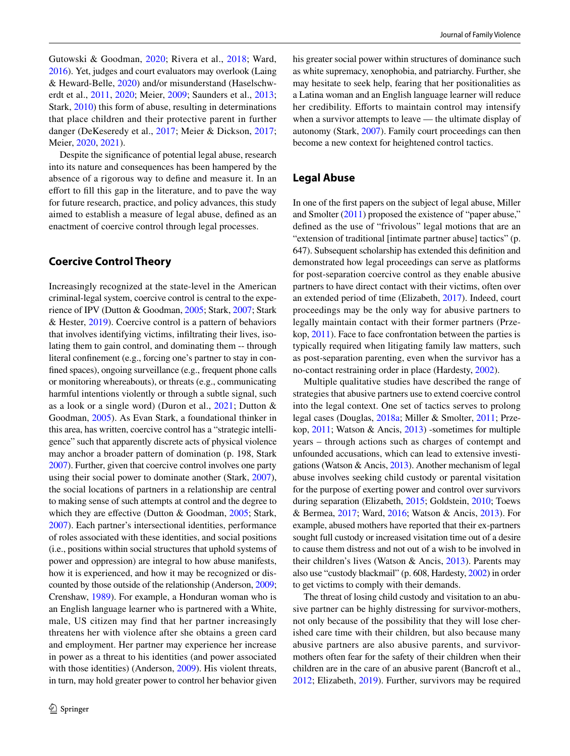Gutowski & Goodman, [2020](#page-13-10); Rivera et al., [2018;](#page-14-5) Ward, [2016\)](#page-14-6). Yet, judges and court evaluators may overlook (Laing & Heward-Belle, [2020](#page-14-7)) and/or misunderstand (Haselschwerdt et al., [2011,](#page-14-8) [2020](#page-14-9); Meier, [2009](#page-14-10); Saunders et al., [2013](#page-14-11); Stark, [2010](#page-14-12)) this form of abuse, resulting in determinations that place children and their protective parent in further danger (DeKeseredy et al., [2017](#page-13-2); Meier & Dickson, [2017](#page-14-13); Meier, [2020](#page-14-14), [2021](#page-14-15)).

Despite the signifcance of potential legal abuse, research into its nature and consequences has been hampered by the absence of a rigorous way to defne and measure it. In an efort to fll this gap in the literature, and to pave the way for future research, practice, and policy advances, this study aimed to establish a measure of legal abuse, defned as an enactment of coercive control through legal processes.

## **Coercive Control Theory**

Increasingly recognized at the state-level in the American criminal-legal system, coercive control is central to the experience of IPV (Dutton & Goodman, [2005;](#page-13-11) Stark, [2007](#page-14-16); Stark & Hester, [2019\)](#page-14-17). Coercive control is a pattern of behaviors that involves identifying victims, infltrating their lives, isolating them to gain control, and dominating them -- through literal confnement (e.g., forcing one's partner to stay in confned spaces), ongoing surveillance (e.g., frequent phone calls or monitoring whereabouts), or threats (e.g., communicating harmful intentions violently or through a subtle signal, such as a look or a single word) (Duron et al., [2021](#page-13-12); Dutton & Goodman, [2005](#page-13-11)). As Evan Stark, a foundational thinker in this area, has written, coercive control has a "strategic intelligence" such that apparently discrete acts of physical violence may anchor a broader pattern of domination (p. 198, Stark [2007\)](#page-14-16). Further, given that coercive control involves one party using their social power to dominate another (Stark, [2007](#page-14-16)), the social locations of partners in a relationship are central to making sense of such attempts at control and the degree to which they are effective (Dutton  $& Goodman, 2005$ ; Stark, [2007](#page-14-16)). Each partner's intersectional identities, performance of roles associated with these identities, and social positions (i.e., positions within social structures that uphold systems of power and oppression) are integral to how abuse manifests, how it is experienced, and how it may be recognized or discounted by those outside of the relationship (Anderson, [2009](#page-13-13); Crenshaw, [1989\)](#page-13-14). For example, a Honduran woman who is an English language learner who is partnered with a White, male, US citizen may find that her partner increasingly threatens her with violence after she obtains a green card and employment. Her partner may experience her increase in power as a threat to his identities (and power associated with those identities) (Anderson, [2009\)](#page-13-13). His violent threats, in turn, may hold greater power to control her behavior given

his greater social power within structures of dominance such as white supremacy, xenophobia, and patriarchy. Further, she may hesitate to seek help, fearing that her positionalities as a Latina woman and an English language learner will reduce her credibility. Efforts to maintain control may intensify when a survivor attempts to leave — the ultimate display of autonomy (Stark, [2007\)](#page-14-16). Family court proceedings can then become a new context for heightened control tactics.

## **Legal Abuse**

In one of the frst papers on the subject of legal abuse, Miller and Smolter [\(2011](#page-14-4)) proposed the existence of "paper abuse," defned as the use of "frivolous" legal motions that are an "extension of traditional [intimate partner abuse] tactics" (p. 647). Subsequent scholarship has extended this defnition and demonstrated how legal proceedings can serve as platforms for post-separation coercive control as they enable abusive partners to have direct contact with their victims, often over an extended period of time (Elizabeth, [2017\)](#page-13-8). Indeed, court proceedings may be the only way for abusive partners to legally maintain contact with their former partners (Przekop, [2011\)](#page-14-18). Face to face confrontation between the parties is typically required when litigating family law matters, such as post-separation parenting, even when the survivor has a no-contact restraining order in place (Hardesty, [2002\)](#page-13-3).

Multiple qualitative studies have described the range of strategies that abusive partners use to extend coercive control into the legal context. One set of tactics serves to prolong legal cases (Douglas, [2018a;](#page-13-7) Miller & Smolter, [2011;](#page-14-4) Przekop, [2011;](#page-14-18) Watson & Ancis, [2013\)](#page-15-0) -sometimes for multiple years – through actions such as charges of contempt and unfounded accusations, which can lead to extensive investigations (Watson & Ancis, [2013](#page-15-0)). Another mechanism of legal abuse involves seeking child custody or parental visitation for the purpose of exerting power and control over survivors during separation (Elizabeth, [2015](#page-13-15); Goldstein, [2010;](#page-13-16) Toews & Bermea, [2017;](#page-14-19) Ward, [2016](#page-14-6); Watson & Ancis, [2013\)](#page-15-0). For example, abused mothers have reported that their ex-partners sought full custody or increased visitation time out of a desire to cause them distress and not out of a wish to be involved in their children's lives (Watson & Ancis, [2013](#page-15-0)). Parents may also use "custody blackmail" (p. 608, Hardesty, [2002\)](#page-13-3) in order to get victims to comply with their demands.

The threat of losing child custody and visitation to an abusive partner can be highly distressing for survivor-mothers, not only because of the possibility that they will lose cherished care time with their children, but also because many abusive partners are also abusive parents, and survivormothers often fear for the safety of their children when their children are in the care of an abusive parent (Bancroft et al., [2012](#page-13-5); Elizabeth, [2019](#page-13-17)). Further, survivors may be required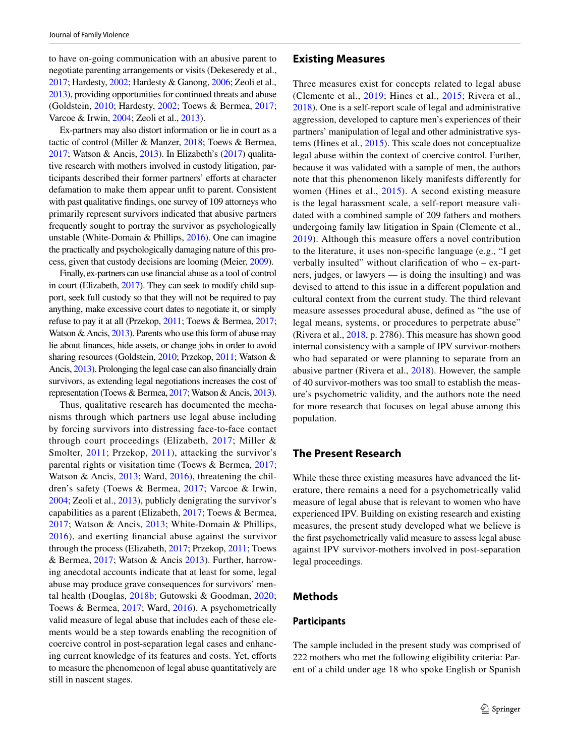to have on-going communication with an abusive parent to negotiate parenting arrangements or visits (Dekeseredy et al., [2017;](#page-13-2) Hardesty, [2002;](#page-13-3) Hardesty & Ganong, [2006;](#page-13-4) Zeoli et al., [2013](#page-15-1)), providing opportunities for continued threats and abuse (Goldstein, [2010;](#page-13-16) Hardesty, [2002;](#page-13-3) Toews & Bermea, [2017](#page-14-19); Varcoe & Irwin, [2004](#page-14-20); Zeoli et al., [2013](#page-15-1)).

Ex-partners may also distort information or lie in court as a tactic of control (Miller & Manzer, [2018;](#page-14-21) Toews & Bermea, [2017;](#page-14-19) Watson & Ancis, [2013\)](#page-15-0). In Elizabeth's ([2017](#page-13-8)) qualitative research with mothers involved in custody litigation, participants described their former partners' efforts at character defamation to make them appear unft to parent. Consistent with past qualitative fndings, one survey of 109 attorneys who primarily represent survivors indicated that abusive partners frequently sought to portray the survivor as psychologically unstable (White-Domain & Phillips, [2016](#page-15-2)). One can imagine the practically and psychologically damaging nature of this process, given that custody decisions are looming (Meier, [2009\)](#page-14-10).

Finally, ex-partners can use fnancial abuse as a tool of control in court (Elizabeth, [2017](#page-13-8)). They can seek to modify child support, seek full custody so that they will not be required to pay anything, make excessive court dates to negotiate it, or simply refuse to pay it at all (Przekop, [2011;](#page-14-18) Toews & Bermea, [2017](#page-14-19); Watson & Ancis, [2013](#page-15-0)). Parents who use this form of abuse may lie about fnances, hide assets, or change jobs in order to avoid sharing resources (Goldstein, [2010;](#page-13-16) Przekop, [2011;](#page-14-18) Watson & Ancis, [2013\)](#page-15-0). Prolonging the legal case can also fnancially drain survivors, as extending legal negotiations increases the cost of representation (Toews & Bermea, [2017;](#page-14-19) Watson & Ancis, [2013\)](#page-15-0).

Thus, qualitative research has documented the mechanisms through which partners use legal abuse including by forcing survivors into distressing face-to-face contact through court proceedings (Elizabeth, [2017](#page-13-8); Miller & Smolter, [2011](#page-14-4); Przekop, [2011\)](#page-14-18), attacking the survivor's parental rights or visitation time (Toews & Bermea, [2017](#page-14-19); Watson & Ancis, [2013](#page-15-0); Ward, [2016\)](#page-14-6), threatening the children's safety (Toews & Bermea, [2017](#page-14-19); Varcoe & Irwin, [2004](#page-14-20); Zeoli et al., [2013\)](#page-15-1), publicly denigrating the survivor's capabilities as a parent (Elizabeth, [2017](#page-13-8); Toews & Bermea, [2017;](#page-14-19) Watson & Ancis, [2013;](#page-15-0) White-Domain & Phillips, [2016\)](#page-15-2), and exerting fnancial abuse against the survivor through the process (Elizabeth, [2017](#page-13-8); Przekop, [2011](#page-14-18); Toews & Bermea, [2017;](#page-14-19) Watson & Ancis [2013\)](#page-15-0). Further, harrowing anecdotal accounts indicate that at least for some, legal abuse may produce grave consequences for survivors' mental health (Douglas, [2018b](#page-13-18); Gutowski & Goodman, [2020](#page-13-10); Toews & Bermea, [2017;](#page-14-19) Ward, [2016](#page-14-6)). A psychometrically valid measure of legal abuse that includes each of these elements would be a step towards enabling the recognition of coercive control in post-separation legal cases and enhancing current knowledge of its features and costs. Yet, efforts to measure the phenomenon of legal abuse quantitatively are still in nascent stages.

#### **Existing Measures**

Three measures exist for concepts related to legal abuse (Clemente et al., [2019](#page-13-19); Hines et al., [2015](#page-14-22); Rivera et al., [2018](#page-14-5)). One is a self-report scale of legal and administrative aggression, developed to capture men's experiences of their partners' manipulation of legal and other administrative systems (Hines et al., [2015](#page-14-22)). This scale does not conceptualize legal abuse within the context of coercive control. Further, because it was validated with a sample of men, the authors note that this phenomenon likely manifests diferently for women (Hines et al., [2015\)](#page-14-22). A second existing measure is the legal harassment scale, a self-report measure validated with a combined sample of 209 fathers and mothers undergoing family law litigation in Spain (Clemente et al., [2019\)](#page-13-19). Although this measure offers a novel contribution to the literature, it uses non-specifc language (e.g., "I get verbally insulted" without clarifcation of who – ex-partners, judges, or lawyers — is doing the insulting) and was devised to attend to this issue in a diferent population and cultural context from the current study. The third relevant measure assesses procedural abuse, defned as "the use of legal means, systems, or procedures to perpetrate abuse" (Rivera et al., [2018](#page-14-5), p. 2786). This measure has shown good internal consistency with a sample of IPV survivor-mothers who had separated or were planning to separate from an abusive partner (Rivera et al., [2018](#page-14-5)). However, the sample of 40 survivor-mothers was too small to establish the measure's psychometric validity, and the authors note the need for more research that focuses on legal abuse among this population.

# **The Present Research**

While these three existing measures have advanced the literature, there remains a need for a psychometrically valid measure of legal abuse that is relevant to women who have experienced IPV. Building on existing research and existing measures, the present study developed what we believe is the frst psychometrically valid measure to assess legal abuse against IPV survivor-mothers involved in post-separation legal proceedings.

## **Methods**

### **Participants**

The sample included in the present study was comprised of 222 mothers who met the following eligibility criteria: Parent of a child under age 18 who spoke English or Spanish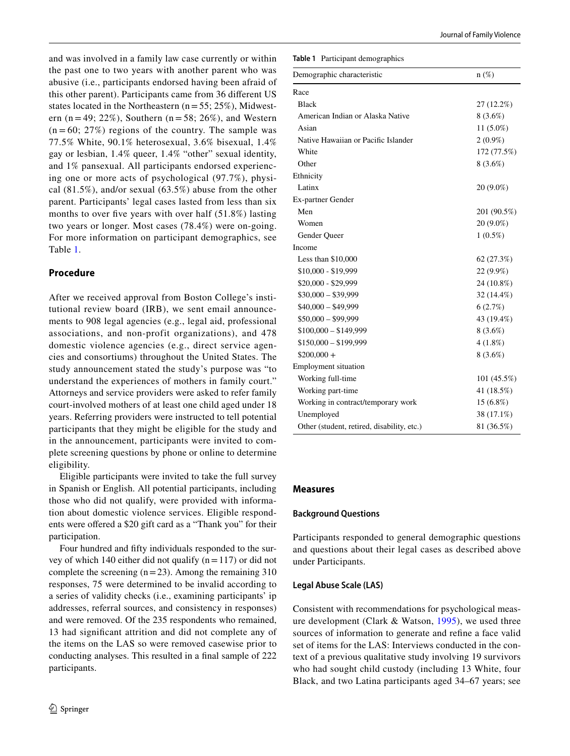and was involved in a family law case currently or within the past one to two years with another parent who was abusive (i.e., participants endorsed having been afraid of this other parent). Participants came from 36 diferent US states located in the Northeastern  $(n=55; 25\%)$ , Midwestern (n = 49; 22%), Southern (n = 58; 26%), and Western  $(n = 60; 27%)$  regions of the country. The sample was 77.5% White, 90.1% heterosexual, 3.6% bisexual, 1.4% gay or lesbian, 1.4% queer, 1.4% "other" sexual identity, and 1% pansexual. All participants endorsed experiencing one or more acts of psychological (97.7%), physical (81.5%), and/or sexual (63.5%) abuse from the other parent. Participants' legal cases lasted from less than six months to over five years with over half (51.8%) lasting two years or longer. Most cases (78.4%) were on-going. For more information on participant demographics, see Table [1](#page-3-0).

## **Procedure**

After we received approval from Boston College's institutional review board (IRB), we sent email announcements to 908 legal agencies (e.g., legal aid, professional associations, and non-profit organizations), and 478 domestic violence agencies (e.g., direct service agencies and consortiums) throughout the United States. The study announcement stated the study's purpose was "to understand the experiences of mothers in family court." Attorneys and service providers were asked to refer family court-involved mothers of at least one child aged under 18 years. Referring providers were instructed to tell potential participants that they might be eligible for the study and in the announcement, participants were invited to complete screening questions by phone or online to determine eligibility.

Eligible participants were invited to take the full survey in Spanish or English. All potential participants, including those who did not qualify, were provided with information about domestic violence services. Eligible respondents were offered a \$20 gift card as a "Thank you" for their participation.

Four hundred and ffty individuals responded to the survey of which 140 either did not qualify  $(n=117)$  or did not complete the screening  $(n=23)$ . Among the remaining 310 responses, 75 were determined to be invalid according to a series of validity checks (i.e., examining participants' ip addresses, referral sources, and consistency in responses) and were removed. Of the 235 respondents who remained, 13 had signifcant attrition and did not complete any of the items on the LAS so were removed casewise prior to conducting analyses. This resulted in a fnal sample of 222 participants.

<span id="page-3-0"></span>**Table 1** Participant demographics

| Demographic characteristic                 | $n(\%)$     |
|--------------------------------------------|-------------|
| Race                                       |             |
| <b>Black</b>                               | 27 (12.2%)  |
| American Indian or Alaska Native           | $8(3.6\%)$  |
| Asian                                      | $11(5.0\%)$ |
| Native Hawaiian or Pacific Islander        | $2(0.9\%)$  |
| White                                      | 172 (77.5%) |
| Other                                      | 8 (3.6%)    |
| Ethnicity                                  |             |
| Latinx                                     | 20 (9.0%)   |
| <b>Ex-partner Gender</b>                   |             |
| Men                                        | 201 (90.5%) |
| Women                                      | 20 (9.0%)   |
| Gender Queer                               | $1(0.5\%)$  |
| Income                                     |             |
| Less than $$10,000$                        | 62 (27.3%)  |
| \$10,000 - \$19,999                        | 22 (9.9%)   |
| \$20,000 - \$29,999                        | 24 (10.8%)  |
| $$30,000 - $39,999$                        | 32 (14.4%)  |
| $$40,000 - $49,999$                        | 6(2.7%)     |
| $$50,000 - $99,999$                        | 43 (19.4%)  |
| $$100,000 - $149,999$                      | 8(3.6%)     |
| $$150,000 - $199,999$                      | $4(1.8\%)$  |
| $$200,000+$                                | $8(3.6\%)$  |
| Employment situation                       |             |
| Working full-time                          | 101 (45.5%) |
| Working part-time                          | 41 (18.5%)  |
| Working in contract/temporary work         | 15 (6.8%)   |
| Unemployed                                 | 38 (17.1%)  |
| Other (student, retired, disability, etc.) | 81 (36.5%)  |

## **Measures**

## **Background Questions**

Participants responded to general demographic questions and questions about their legal cases as described above under Participants.

## **Legal Abuse Scale (LAS)**

Consistent with recommendations for psychological measure development (Clark & Watson, [1995](#page-13-20)), we used three sources of information to generate and refne a face valid set of items for the LAS: Interviews conducted in the context of a previous qualitative study involving 19 survivors who had sought child custody (including 13 White, four Black, and two Latina participants aged 34–67 years; see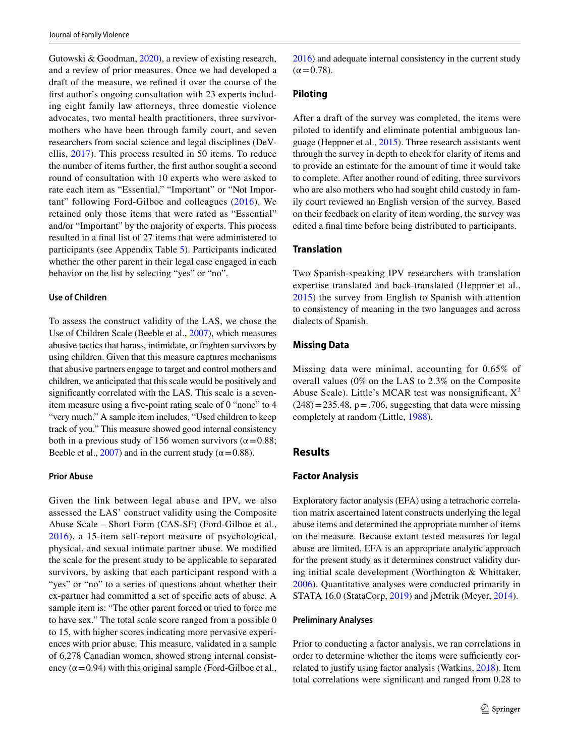Gutowski & Goodman, [2020\)](#page-13-10), a review of existing research, and a review of prior measures. Once we had developed a draft of the measure, we refned it over the course of the frst author's ongoing consultation with 23 experts including eight family law attorneys, three domestic violence advocates, two mental health practitioners, three survivormothers who have been through family court, and seven researchers from social science and legal disciplines (DeVellis, [2017\)](#page-13-21). This process resulted in 50 items. To reduce the number of items further, the frst author sought a second round of consultation with 10 experts who were asked to rate each item as "Essential," "Important" or "Not Important" following Ford-Gilboe and colleagues ([2016\)](#page-13-22). We retained only those items that were rated as "Essential" and/or "Important" by the majority of experts. This process resulted in a fnal list of 27 items that were administered to participants (see Appendix Table [5\)](#page-12-0). Participants indicated whether the other parent in their legal case engaged in each behavior on the list by selecting "yes" or "no".

#### **Use of Children**

To assess the construct validity of the LAS, we chose the Use of Children Scale (Beeble et al., [2007\)](#page-13-23), which measures abusive tactics that harass, intimidate, or frighten survivors by using children. Given that this measure captures mechanisms that abusive partners engage to target and control mothers and children, we anticipated that this scale would be positively and signifcantly correlated with the LAS. This scale is a sevenitem measure using a fve-point rating scale of 0 "none" to 4 "very much." A sample item includes, "Used children to keep track of you." This measure showed good internal consistency both in a previous study of 156 women survivors ( $\alpha$  = 0.88; Beeble et al., [2007](#page-13-23)) and in the current study ( $\alpha$  = 0.88).

#### **Prior Abuse**

Given the link between legal abuse and IPV, we also assessed the LAS' construct validity using the Composite Abuse Scale – Short Form (CAS-SF) (Ford-Gilboe et al., [2016](#page-13-22)), a 15-item self-report measure of psychological, physical, and sexual intimate partner abuse. We modifed the scale for the present study to be applicable to separated survivors, by asking that each participant respond with a "yes" or "no" to a series of questions about whether their ex-partner had committed a set of specifc acts of abuse. A sample item is: "The other parent forced or tried to force me to have sex." The total scale score ranged from a possible 0 to 15, with higher scores indicating more pervasive experiences with prior abuse. This measure, validated in a sample of 6,278 Canadian women, showed strong internal consistency ( $\alpha$ =0.94) with this original sample (Ford-Gilboe et al.,

[2016](#page-13-22)) and adequate internal consistency in the current study  $(\alpha = 0.78)$ .

#### **Piloting**

After a draft of the survey was completed, the items were piloted to identify and eliminate potential ambiguous language (Heppner et al., [2015\)](#page-14-23). Three research assistants went through the survey in depth to check for clarity of items and to provide an estimate for the amount of time it would take to complete. After another round of editing, three survivors who are also mothers who had sought child custody in family court reviewed an English version of the survey. Based on their feedback on clarity of item wording, the survey was edited a fnal time before being distributed to participants.

# **Translation**

Two Spanish-speaking IPV researchers with translation expertise translated and back-translated (Heppner et al., [2015\)](#page-14-23) the survey from English to Spanish with attention to consistency of meaning in the two languages and across dialects of Spanish.

## **Missing Data**

Missing data were minimal, accounting for 0.65% of overall values (0% on the LAS to 2.3% on the Composite Abuse Scale). Little's MCAR test was nonsignificant,  $X^2$  $(248) = 235.48$ , p = .706, suggesting that data were missing completely at random (Little, [1988\)](#page-14-24).

## **Results**

## **Factor Analysis**

Exploratory factor analysis (EFA) using a tetrachoric correlation matrix ascertained latent constructs underlying the legal abuse items and determined the appropriate number of items on the measure. Because extant tested measures for legal abuse are limited, EFA is an appropriate analytic approach for the present study as it determines construct validity during initial scale development (Worthington & Whittaker, [2006\)](#page-15-3). Quantitative analyses were conducted primarily in STATA 16.0 (StataCorp, [2019](#page-14-25)) and jMetrik (Meyer, [2014\)](#page-14-26).

#### **Preliminary Analyses**

Prior to conducting a factor analysis, we ran correlations in order to determine whether the items were sufficiently correlated to justify using factor analysis (Watkins, [2018\)](#page-15-4). Item total correlations were signifcant and ranged from 0.28 to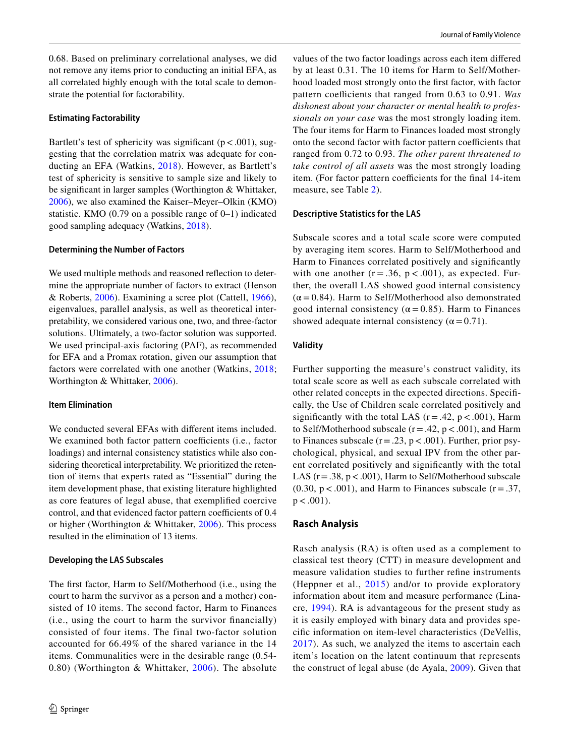0.68. Based on preliminary correlational analyses, we did not remove any items prior to conducting an initial EFA, as all correlated highly enough with the total scale to demonstrate the potential for factorability.

#### **Estimating Factorability**

Bartlett's test of sphericity was significant ( $p < .001$ ), suggesting that the correlation matrix was adequate for conducting an EFA (Watkins, [2018\)](#page-15-4). However, as Bartlett's test of sphericity is sensitive to sample size and likely to be signifcant in larger samples (Worthington & Whittaker, [2006](#page-15-3)), we also examined the Kaiser–Meyer–Olkin (KMO) statistic. KMO  $(0.79 \text{ on a possible range of } 0-1)$  indicated good sampling adequacy (Watkins, [2018](#page-15-4)).

#### **Determining the Number of Factors**

We used multiple methods and reasoned refection to determine the appropriate number of factors to extract (Henson & Roberts, [2006\)](#page-14-27). Examining a scree plot (Cattell, [1966](#page-13-24)), eigenvalues, parallel analysis, as well as theoretical interpretability, we considered various one, two, and three-factor solutions. Ultimately, a two-factor solution was supported. We used principal-axis factoring (PAF), as recommended for EFA and a Promax rotation, given our assumption that factors were correlated with one another (Watkins, [2018](#page-15-4); Worthington & Whittaker, [2006](#page-15-3)).

#### **Item Elimination**

We conducted several EFAs with diferent items included. We examined both factor pattern coefficients (i.e., factor loadings) and internal consistency statistics while also considering theoretical interpretability. We prioritized the retention of items that experts rated as "Essential" during the item development phase, that existing literature highlighted as core features of legal abuse, that exemplifed coercive control, and that evidenced factor pattern coefficients of 0.4 or higher (Worthington & Whittaker, [2006](#page-15-3)). This process resulted in the elimination of 13 items.

#### **Developing the LAS Subscales**

The frst factor, Harm to Self/Motherhood (i.e., using the court to harm the survivor as a person and a mother) consisted of 10 items. The second factor, Harm to Finances (i.e., using the court to harm the survivor fnancially) consisted of four items. The final two-factor solution accounted for 66.49% of the shared variance in the 14 items. Communalities were in the desirable range (0.54- 0.80) (Worthington & Whittaker, [2006\)](#page-15-3). The absolute

values of the two factor loadings across each item difered by at least 0.31. The 10 items for Harm to Self/Motherhood loaded most strongly onto the frst factor, with factor pattern coefficients that ranged from 0.63 to 0.91. Was *dishonest about your character or mental health to professionals on your case* was the most strongly loading item. The four items for Harm to Finances loaded most strongly onto the second factor with factor pattern coefficients that ranged from 0.72 to 0.93. *The other parent threatened to take control of all assets* was the most strongly loading item. (For factor pattern coefficients for the final 14-item measure, see Table [2](#page-6-0)).

#### **Descriptive Statistics for the LAS**

Subscale scores and a total scale score were computed by averaging item scores. Harm to Self/Motherhood and Harm to Finances correlated positively and signifcantly with one another  $(r = .36, p < .001)$ , as expected. Further, the overall LAS showed good internal consistency  $(\alpha = 0.84)$ . Harm to Self/Motherhood also demonstrated good internal consistency ( $\alpha$  = 0.85). Harm to Finances showed adequate internal consistency ( $\alpha$  = 0.71).

#### **Validity**

Further supporting the measure's construct validity, its total scale score as well as each subscale correlated with other related concepts in the expected directions. Specifcally, the Use of Children scale correlated positively and significantly with the total LAS ( $r = .42$ ,  $p < .001$ ), Harm to Self/Motherhood subscale ( $r = .42$ ,  $p < .001$ ), and Harm to Finances subscale ( $r = .23$ ,  $p < .001$ ). Further, prior psychological, physical, and sexual IPV from the other parent correlated positively and signifcantly with the total LAS ( $r = .38$ ,  $p < .001$ ), Harm to Self/Motherhood subscale  $(0.30, p < .001)$ , and Harm to Finances subscale (r = .37,  $p < .001$ ).

### **Rasch Analysis**

Rasch analysis (RA) is often used as a complement to classical test theory (CTT) in measure development and measure validation studies to further refne instruments (Heppner et al., [2015](#page-14-23)) and/or to provide exploratory information about item and measure performance (Linacre, [1994](#page-14-28)). RA is advantageous for the present study as it is easily employed with binary data and provides specifc information on item-level characteristics (DeVellis, [2017](#page-13-21)). As such, we analyzed the items to ascertain each item's location on the latent continuum that represents the construct of legal abuse (de Ayala, [2009](#page-13-25)). Given that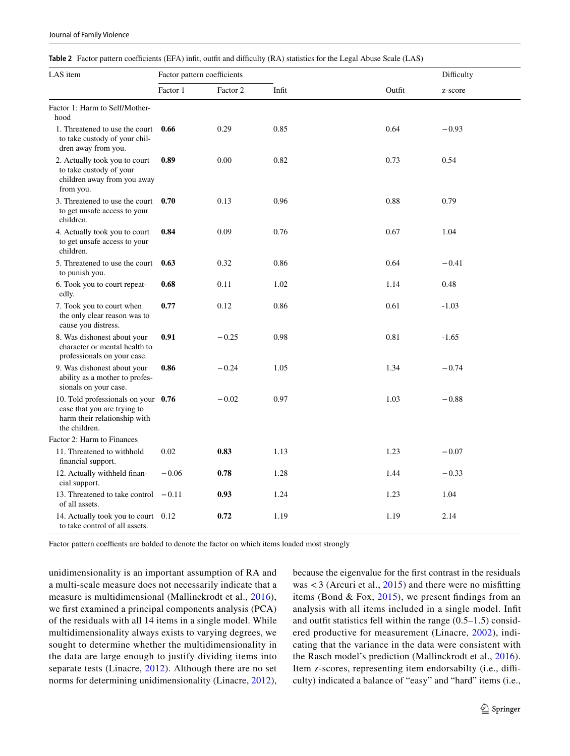| Journal of Family Violence |  |  |
|----------------------------|--|--|
|                            |  |  |

<span id="page-6-0"></span>**Table 2** Factor pattern coefficients (EFA) infit, outfit and difficulty (RA) statistics for the Legal Abuse Scale (LAS)

| LAS item                                                                                                            | Factor pattern coefficients |          |       |        | Difficulty |
|---------------------------------------------------------------------------------------------------------------------|-----------------------------|----------|-------|--------|------------|
|                                                                                                                     | Factor 1                    | Factor 2 | Infit | Outfit | z-score    |
| Factor 1: Harm to Self/Mother-<br>hood                                                                              |                             |          |       |        |            |
| 1. Threatened to use the court<br>to take custody of your chil-<br>dren away from you.                              | 0.66                        | 0.29     | 0.85  | 0.64   | $-0.93$    |
| 2. Actually took you to court<br>to take custody of your<br>children away from you away<br>from you.                | 0.89                        | 0.00     | 0.82  | 0.73   | 0.54       |
| 3. Threatened to use the court<br>to get unsafe access to your<br>children.                                         | 0.70                        | 0.13     | 0.96  | 0.88   | 0.79       |
| 4. Actually took you to court<br>to get unsafe access to your<br>children.                                          | 0.84                        | 0.09     | 0.76  | 0.67   | 1.04       |
| 5. Threatened to use the court<br>to punish you.                                                                    | 0.63                        | 0.32     | 0.86  | 0.64   | $-0.41$    |
| 6. Took you to court repeat-<br>edly.                                                                               | 0.68                        | 0.11     | 1.02  | 1.14   | 0.48       |
| 7. Took you to court when<br>the only clear reason was to<br>cause you distress.                                    | 0.77                        | 0.12     | 0.86  | 0.61   | $-1.03$    |
| 8. Was dishonest about your<br>character or mental health to<br>professionals on your case.                         | 0.91                        | $-0.25$  | 0.98  | 0.81   | $-1.65$    |
| 9. Was dishonest about your<br>ability as a mother to profes-<br>sionals on your case.                              | 0.86                        | $-0.24$  | 1.05  | 1.34   | $-0.74$    |
| 10. Told professionals on your 0.76<br>case that you are trying to<br>harm their relationship with<br>the children. |                             | $-0.02$  | 0.97  | 1.03   | $-0.88$    |
| Factor 2: Harm to Finances                                                                                          |                             |          |       |        |            |
| 11. Threatened to withhold<br>financial support.                                                                    | 0.02                        | 0.83     | 1.13  | 1.23   | $-0.07$    |
| 12. Actually withheld finan-<br>cial support.                                                                       | $-0.06$                     | 0.78     | 1.28  | 1.44   | $-0.33$    |
| 13. Threatened to take control $-0.11$<br>of all assets.                                                            |                             | 0.93     | 1.24  | 1.23   | 1.04       |
| 14. Actually took you to court 0.12<br>to take control of all assets.                                               |                             | 0.72     | 1.19  | 1.19   | 2.14       |

Factor pattern coeffients are bolded to denote the factor on which items loaded most strongly

unidimensionality is an important assumption of RA and a multi-scale measure does not necessarily indicate that a measure is multidimensional (Mallinckrodt et al., [2016\)](#page-14-29), we frst examined a principal components analysis (PCA) of the residuals with all 14 items in a single model. While multidimensionality always exists to varying degrees, we sought to determine whether the multidimensionality in the data are large enough to justify dividing items into separate tests (Linacre, [2012](#page-14-30)). Although there are no set norms for determining unidimensionality (Linacre, [2012](#page-14-30)),

because the eigenvalue for the frst contrast in the residuals was  $<$  3 (Arcuri et al., [2015](#page-13-26)) and there were no misfitting items (Bond  $& Fox, 2015$ ), we present findings from an analysis with all items included in a single model. Inft and outft statistics fell within the range (0.5–1.5) considered productive for measurement (Linacre, [2002\)](#page-14-31), indicating that the variance in the data were consistent with the Rasch model's prediction (Mallinckrodt et al., [2016](#page-14-29)). Item z-scores, representing item endorsabilty (i.e., difficulty) indicated a balance of "easy" and "hard" items (i.e.,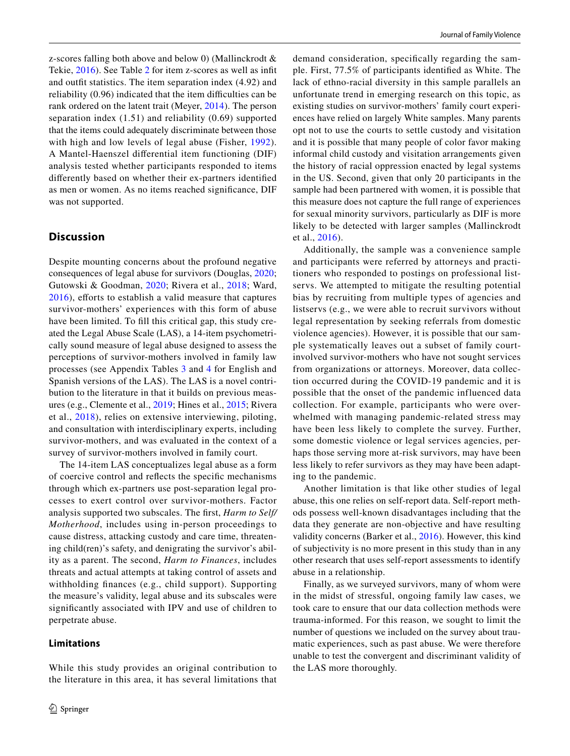z-scores falling both above and below 0) (Mallinckrodt & Tekie, [2016\)](#page-14-32). See Table [2](#page-6-0) for item z-scores as well as inft and outft statistics. The item separation index (4.92) and reliability (0.96) indicated that the item difficulties can be rank ordered on the latent trait (Meyer, [2014\)](#page-14-26). The person separation index (1.51) and reliability (0.69) supported that the items could adequately discriminate between those with high and low levels of legal abuse (Fisher, [1992](#page-13-28)). A Mantel-Haenszel diferential item functioning (DIF) analysis tested whether participants responded to items diferently based on whether their ex-partners identifed as men or women. As no items reached signifcance, DIF was not supported.

# **Discussion**

Despite mounting concerns about the profound negative consequences of legal abuse for survivors (Douglas, [2020](#page-13-9); Gutowski & Goodman, [2020](#page-13-10); Rivera et al., [2018](#page-14-5); Ward,  $2016$ ), efforts to establish a valid measure that captures survivor-mothers' experiences with this form of abuse have been limited. To fill this critical gap, this study created the Legal Abuse Scale (LAS), a 14-item psychometrically sound measure of legal abuse designed to assess the perceptions of survivor-mothers involved in family law processes (see Appendix Tables [3](#page-10-0) and [4](#page-11-0) for English and Spanish versions of the LAS). The LAS is a novel contribution to the literature in that it builds on previous measures (e.g., Clemente et al., [2019](#page-13-19); Hines et al., [2015](#page-14-22); Rivera et al., [2018\)](#page-14-5), relies on extensive interviewing, piloting, and consultation with interdisciplinary experts, including survivor-mothers, and was evaluated in the context of a survey of survivor-mothers involved in family court.

The 14-item LAS conceptualizes legal abuse as a form of coercive control and refects the specifc mechanisms through which ex-partners use post-separation legal processes to exert control over survivor-mothers. Factor analysis supported two subscales. The frst, *Harm to Self/ Motherhood*, includes using in-person proceedings to cause distress, attacking custody and care time, threatening child(ren)'s safety, and denigrating the survivor's ability as a parent. The second, *Harm to Finances*, includes threats and actual attempts at taking control of assets and withholding fnances (e.g., child support). Supporting the measure's validity, legal abuse and its subscales were signifcantly associated with IPV and use of children to perpetrate abuse.

While this study provides an original contribution to

## **Limitations**

demand consideration, specifcally regarding the sample. First, 77.5% of participants identifed as White. The lack of ethno-racial diversity in this sample parallels an unfortunate trend in emerging research on this topic, as existing studies on survivor-mothers' family court experiences have relied on largely White samples. Many parents opt not to use the courts to settle custody and visitation and it is possible that many people of color favor making informal child custody and visitation arrangements given the history of racial oppression enacted by legal systems in the US. Second, given that only 20 participants in the sample had been partnered with women, it is possible that this measure does not capture the full range of experiences for sexual minority survivors, particularly as DIF is more likely to be detected with larger samples (Mallinckrodt et al., [2016\)](#page-14-29).

Additionally, the sample was a convenience sample and participants were referred by attorneys and practitioners who responded to postings on professional listservs. We attempted to mitigate the resulting potential bias by recruiting from multiple types of agencies and listservs (e.g., we were able to recruit survivors without legal representation by seeking referrals from domestic violence agencies). However, it is possible that our sample systematically leaves out a subset of family courtinvolved survivor-mothers who have not sought services from organizations or attorneys. Moreover, data collection occurred during the COVID-19 pandemic and it is possible that the onset of the pandemic influenced data collection. For example, participants who were overwhelmed with managing pandemic-related stress may have been less likely to complete the survey. Further, some domestic violence or legal services agencies, perhaps those serving more at-risk survivors, may have been less likely to refer survivors as they may have been adapting to the pandemic.

Another limitation is that like other studies of legal abuse, this one relies on self-report data. Self-report methods possess well-known disadvantages including that the data they generate are non-objective and have resulting validity concerns (Barker et al., [2016\)](#page-13-29). However, this kind of subjectivity is no more present in this study than in any other research that uses self-report assessments to identify abuse in a relationship.

Finally, as we surveyed survivors, many of whom were in the midst of stressful, ongoing family law cases, we took care to ensure that our data collection methods were trauma-informed. For this reason, we sought to limit the number of questions we included on the survey about traumatic experiences, such as past abuse. We were therefore unable to test the convergent and discriminant validity of the LAS more thoroughly.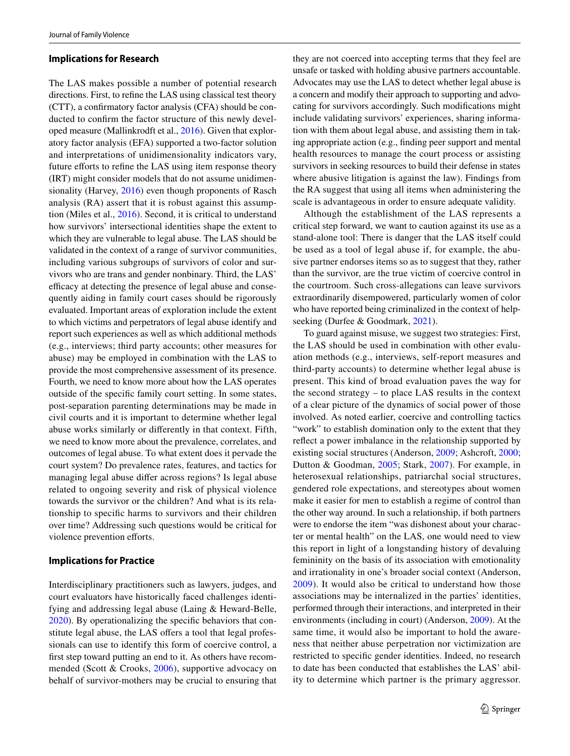#### **Implications for Research**

The LAS makes possible a number of potential research directions. First, to refne the LAS using classical test theory (CTT), a confrmatory factor analysis (CFA) should be conducted to confrm the factor structure of this newly developed measure (Mallinkrodft et al., [2016\)](#page-14-29). Given that exploratory factor analysis (EFA) supported a two-factor solution and interpretations of unidimensionality indicators vary, future efforts to refine the LAS using item response theory (IRT) might consider models that do not assume unidimensionality (Harvey, [2016\)](#page-14-33) even though proponents of Rasch analysis (RA) assert that it is robust against this assumption (Miles et al., [2016](#page-14-34)). Second, it is critical to understand how survivors' intersectional identities shape the extent to which they are vulnerable to legal abuse. The LAS should be validated in the context of a range of survivor communities, including various subgroups of survivors of color and survivors who are trans and gender nonbinary. Third, the LAS' efficacy at detecting the presence of legal abuse and consequently aiding in family court cases should be rigorously evaluated. Important areas of exploration include the extent to which victims and perpetrators of legal abuse identify and report such experiences as well as which additional methods (e.g., interviews; third party accounts; other measures for abuse) may be employed in combination with the LAS to provide the most comprehensive assessment of its presence. Fourth, we need to know more about how the LAS operates outside of the specifc family court setting. In some states, post-separation parenting determinations may be made in civil courts and it is important to determine whether legal abuse works similarly or diferently in that context. Fifth, we need to know more about the prevalence, correlates, and outcomes of legal abuse. To what extent does it pervade the court system? Do prevalence rates, features, and tactics for managing legal abuse difer across regions? Is legal abuse related to ongoing severity and risk of physical violence towards the survivor or the children? And what is its relationship to specifc harms to survivors and their children over time? Addressing such questions would be critical for violence prevention efforts.

### **Implications for Practice**

Interdisciplinary practitioners such as lawyers, judges, and court evaluators have historically faced challenges identifying and addressing legal abuse (Laing & Heward-Belle, [2020](#page-14-7)). By operationalizing the specifc behaviors that constitute legal abuse, the LAS offers a tool that legal professionals can use to identify this form of coercive control, a frst step toward putting an end to it. As others have recommended (Scott & Crooks, [2006](#page-14-35)), supportive advocacy on behalf of survivor-mothers may be crucial to ensuring that they are not coerced into accepting terms that they feel are unsafe or tasked with holding abusive partners accountable. Advocates may use the LAS to detect whether legal abuse is a concern and modify their approach to supporting and advocating for survivors accordingly. Such modifcations might include validating survivors' experiences, sharing information with them about legal abuse, and assisting them in taking appropriate action (e.g., fnding peer support and mental health resources to manage the court process or assisting survivors in seeking resources to build their defense in states where abusive litigation is against the law). Findings from the RA suggest that using all items when administering the scale is advantageous in order to ensure adequate validity.

Although the establishment of the LAS represents a critical step forward, we want to caution against its use as a stand-alone tool: There is danger that the LAS itself could be used as a tool of legal abuse if, for example, the abusive partner endorses items so as to suggest that they, rather than the survivor, are the true victim of coercive control in the courtroom. Such cross-allegations can leave survivors extraordinarily disempowered, particularly women of color who have reported being criminalized in the context of helpseeking (Durfee & Goodmark, [2021\)](#page-13-30).

To guard against misuse, we suggest two strategies: First, the LAS should be used in combination with other evaluation methods (e.g., interviews, self-report measures and third-party accounts) to determine whether legal abuse is present. This kind of broad evaluation paves the way for the second strategy – to place LAS results in the context of a clear picture of the dynamics of social power of those involved. As noted earlier, coercive and controlling tactics "work" to establish domination only to the extent that they refect a power imbalance in the relationship supported by existing social structures (Anderson, [2009;](#page-13-13) Ashcroft, [2000](#page-13-31); Dutton & Goodman, [2005;](#page-13-11) Stark, [2007\)](#page-14-16). For example, in heterosexual relationships, patriarchal social structures, gendered role expectations, and stereotypes about women make it easier for men to establish a regime of control than the other way around. In such a relationship, if both partners were to endorse the item "was dishonest about your character or mental health" on the LAS, one would need to view this report in light of a longstanding history of devaluing femininity on the basis of its association with emotionality and irrationality in one's broader social context (Anderson, [2009\)](#page-13-13). It would also be critical to understand how those associations may be internalized in the parties' identities, performed through their interactions, and interpreted in their environments (including in court) (Anderson, [2009](#page-13-13)). At the same time, it would also be important to hold the awareness that neither abuse perpetration nor victimization are restricted to specifc gender identities. Indeed, no research to date has been conducted that establishes the LAS' ability to determine which partner is the primary aggressor.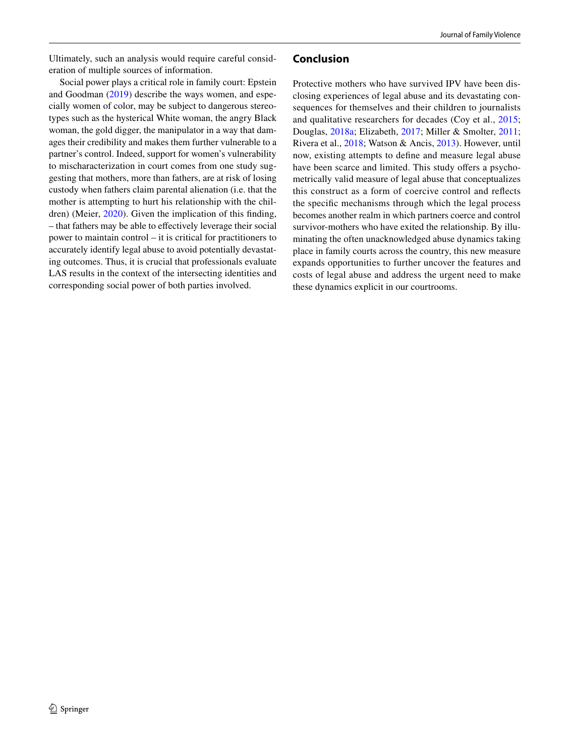Ultimately, such an analysis would require careful consideration of multiple sources of information.

Social power plays a critical role in family court: Epstein and Goodman [\(2019\)](#page-13-32) describe the ways women, and especially women of color, may be subject to dangerous stereotypes such as the hysterical White woman, the angry Black woman, the gold digger, the manipulator in a way that damages their credibility and makes them further vulnerable to a partner's control. Indeed, support for women's vulnerability to mischaracterization in court comes from one study suggesting that mothers, more than fathers, are at risk of losing custody when fathers claim parental alienation (i.e. that the mother is attempting to hurt his relationship with the children) (Meier, [2020](#page-14-14)). Given the implication of this fnding, – that fathers may be able to efectively leverage their social power to maintain control – it is critical for practitioners to accurately identify legal abuse to avoid potentially devastating outcomes. Thus, it is crucial that professionals evaluate LAS results in the context of the intersecting identities and corresponding social power of both parties involved.

# **Conclusion**

Protective mothers who have survived IPV have been disclosing experiences of legal abuse and its devastating consequences for themselves and their children to journalists and qualitative researchers for decades (Coy et al., [2015](#page-13-6); Douglas, [2018a;](#page-13-7) Elizabeth, [2017;](#page-13-8) Miller & Smolter, [2011](#page-14-4); Rivera et al., [2018;](#page-14-5) Watson & Ancis, [2013\)](#page-15-0). However, until now, existing attempts to defne and measure legal abuse have been scarce and limited. This study offers a psychometrically valid measure of legal abuse that conceptualizes this construct as a form of coercive control and refects the specifc mechanisms through which the legal process becomes another realm in which partners coerce and control survivor-mothers who have exited the relationship. By illuminating the often unacknowledged abuse dynamics taking place in family courts across the country, this new measure expands opportunities to further uncover the features and costs of legal abuse and address the urgent need to make these dynamics explicit in our courtrooms.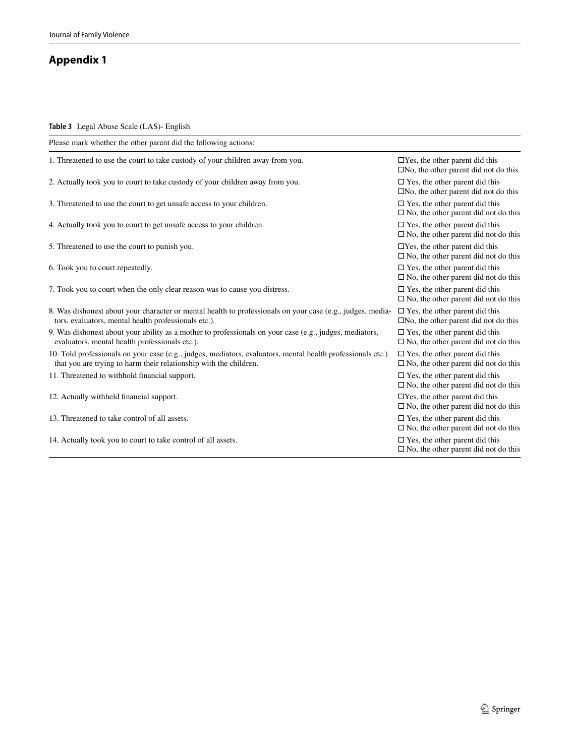# **Appendix 1**

<span id="page-10-0"></span>**Table 3** Legal Abuse Scale (LAS)- English

| Please mark whether the other parent did the following actions:                                                                                                                  |                                                                                            |
|----------------------------------------------------------------------------------------------------------------------------------------------------------------------------------|--------------------------------------------------------------------------------------------|
| 1. Threatened to use the court to take custody of your children away from you.                                                                                                   | $\Box$ Yes, the other parent did this<br>$\Box$ No, the other parent did not do this       |
| 2. Actually took you to court to take custody of your children away from you.                                                                                                    | $\square$ Yes, the other parent did this<br>$\Box$ No, the other parent did not do this    |
| 3. Threatened to use the court to get unsafe access to your children.                                                                                                            | $\Box$ Yes, the other parent did this<br>$\square$ No, the other parent did not do this    |
| 4. Actually took you to court to get unsafe access to your children.                                                                                                             | $\square$ Yes, the other parent did this<br>$\square$ No, the other parent did not do this |
| 5. Threatened to use the court to punish you.                                                                                                                                    | $\Box$ Yes, the other parent did this<br>$\square$ No, the other parent did not do this    |
| 6. Took you to court repeatedly.                                                                                                                                                 | $\square$ Yes, the other parent did this<br>$\square$ No, the other parent did not do this |
| 7. Took you to court when the only clear reason was to cause you distress.                                                                                                       | $\Box$ Yes, the other parent did this<br>$\square$ No, the other parent did not do this    |
| 8. Was dishonest about your character or mental health to professionals on your case (e.g., judges, media-<br>tors, evaluators, mental health professionals etc.).               | $\square$ Yes, the other parent did this<br>$\Box$ No, the other parent did not do this    |
| 9. Was dishonest about your ability as a mother to professionals on your case (e.g., judges, mediators,<br>evaluators, mental health professionals etc.).                        | $\square$ Yes, the other parent did this<br>$\square$ No, the other parent did not do this |
| 10. Told professionals on your case (e.g., judges, mediators, evaluators, mental health professionals etc.)<br>that you are trying to harm their relationship with the children. | $\square$ Yes, the other parent did this<br>$\Box$ No, the other parent did not do this    |
| 11. Threatened to withhold financial support.                                                                                                                                    | $\square$ Yes, the other parent did this<br>$\square$ No, the other parent did not do this |
| 12. Actually withheld financial support.                                                                                                                                         | $\Box$ Yes, the other parent did this<br>$\square$ No, the other parent did not do this    |
| 13. Threatened to take control of all assets.                                                                                                                                    | $\square$ Yes, the other parent did this<br>$\square$ No, the other parent did not do this |
| 14. Actually took you to court to take control of all assets.                                                                                                                    | $\Box$ Yes, the other parent did this<br>$\square$ No, the other parent did not do this    |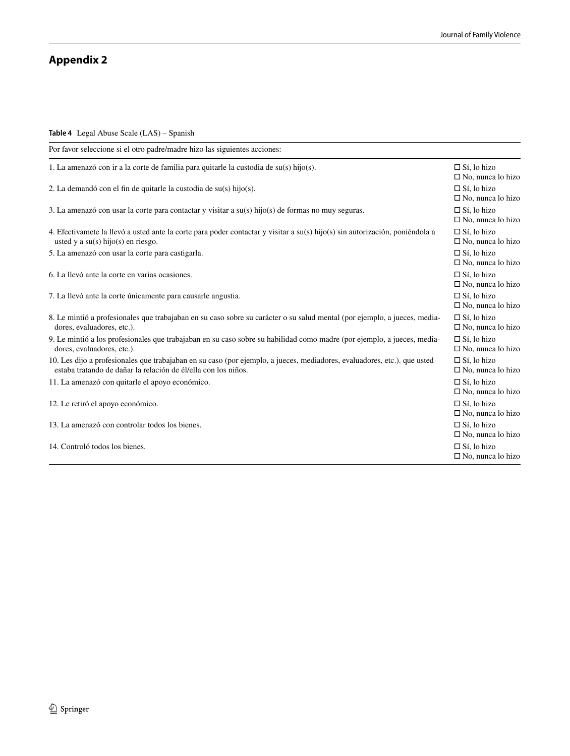# **Appendix 2**

<span id="page-11-0"></span>**Table 4** Legal Abuse Scale (LAS) – Spanish

| Por favor seleccione si el otro padre/madre hizo las siguientes acciones:                                                                                                                  |                                                   |
|--------------------------------------------------------------------------------------------------------------------------------------------------------------------------------------------|---------------------------------------------------|
| 1. La amenazó con ir a la corte de familia para quitarle la custodia de $su(s)$ hijo(s).                                                                                                   | $\Box$ Sí, lo hizo<br>$\square$ No, nunca lo hizo |
| 2. La demandó con el fin de quitarle la custodia de $su(s)$ hijo $(s)$ .                                                                                                                   | $\Box$ Sí, lo hizo<br>$\Box$ No, nunca lo hizo    |
| 3. La amenazó con usar la corte para contactar y visitar a su(s) hijo(s) de formas no muy seguras.                                                                                         | $\Box$ Sí, lo hizo<br>$\square$ No, nunca lo hizo |
| 4. Efectivamete la llevó a usted ante la corte para poder contactar y visitar a su(s) hijo(s) sin autorización, poniéndola a<br>usted y a $su(s)$ hijo(s) en riesgo.                       | $\Box$ Sí, lo hizo<br>$\Box$ No, nunca lo hizo    |
| 5. La amenazó con usar la corte para castigarla.                                                                                                                                           | $\Box$ Sí, lo hizo<br>$\square$ No, nunca lo hizo |
| 6. La llevó ante la corte en varias ocasiones.                                                                                                                                             | $\Box$ Sí, lo hizo<br>$\Box$ No, nunca lo hizo    |
| 7. La llevó ante la corte únicamente para causarle angustia.                                                                                                                               | $\Box$ Sí, lo hizo<br>$\square$ No, nunca lo hizo |
| 8. Le mintió a profesionales que trabajaban en su caso sobre su carácter o su salud mental (por ejemplo, a jueces, media-<br>dores, evaluadores, etc.).                                    | $\Box$ Sí, lo hizo<br>$\Box$ No, nunca lo hizo    |
| 9. Le mintió a los profesionales que trabajaban en su caso sobre su habilidad como madre (por ejemplo, a jueces, media-<br>dores, evaluadores, etc.).                                      | $\Box$ Sí, lo hizo<br>$\Box$ No, nunca lo hizo    |
| 10. Les dijo a profesionales que trabajaban en su caso (por ejemplo, a jueces, mediadores, evaluadores, etc.). que usted<br>estaba tratando de dañar la relación de él/ella con los niños. | $\Box$ Sí, lo hizo<br>$\Box$ No, nunca lo hizo    |
| 11. La amenazó con quitarle el apoyo económico.                                                                                                                                            | $\Box$ Sí, lo hizo<br>$\Box$ No, nunca lo hizo    |
| 12. Le retiró el apoyo económico.                                                                                                                                                          | $\Box$ Sí, lo hizo<br>$\Box$ No, nunca lo hizo    |
| 13. La amenazó con controlar todos los bienes.                                                                                                                                             | $\Box$ Sí, lo hizo<br>$\Box$ No, nunca lo hizo    |
| 14. Controló todos los bienes.                                                                                                                                                             | $\Box$ Sí, lo hizo<br>$\Box$ No, nunca lo hizo    |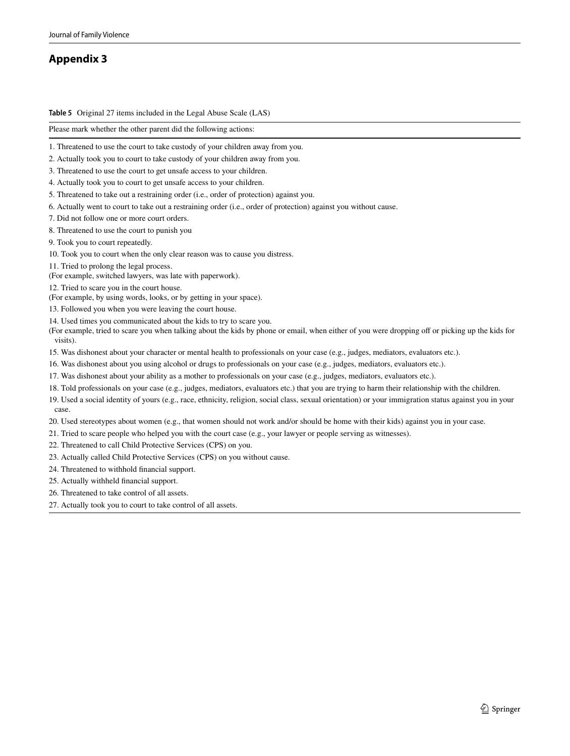# **Appendix 3**

<span id="page-12-0"></span>**Table 5** Original 27 items included in the Legal Abuse Scale (LAS)

Please mark whether the other parent did the following actions:

- 1. Threatened to use the court to take custody of your children away from you.
- 2. Actually took you to court to take custody of your children away from you.
- 3. Threatened to use the court to get unsafe access to your children.
- 4. Actually took you to court to get unsafe access to your children.
- 5. Threatened to take out a restraining order (i.e., order of protection) against you.
- 6. Actually went to court to take out a restraining order (i.e., order of protection) against you without cause.
- 7. Did not follow one or more court orders.
- 8. Threatened to use the court to punish you
- 9. Took you to court repeatedly.
- 10. Took you to court when the only clear reason was to cause you distress.
- 11. Tried to prolong the legal process.
- (For example, switched lawyers, was late with paperwork).
- 12. Tried to scare you in the court house.
- (For example, by using words, looks, or by getting in your space).
- 13. Followed you when you were leaving the court house.
- 14. Used times you communicated about the kids to try to scare you.
- (For example, tried to scare you when talking about the kids by phone or email, when either of you were dropping of or picking up the kids for visits).
- 15. Was dishonest about your character or mental health to professionals on your case (e.g., judges, mediators, evaluators etc.).
- 16. Was dishonest about you using alcohol or drugs to professionals on your case (e.g., judges, mediators, evaluators etc.).
- 17. Was dishonest about your ability as a mother to professionals on your case (e.g., judges, mediators, evaluators etc.).
- 18. Told professionals on your case (e.g., judges, mediators, evaluators etc.) that you are trying to harm their relationship with the children.
- 19. Used a social identity of yours (e.g., race, ethnicity, religion, social class, sexual orientation) or your immigration status against you in your case.
- 20. Used stereotypes about women (e.g., that women should not work and/or should be home with their kids) against you in your case.
- 21. Tried to scare people who helped you with the court case (e.g., your lawyer or people serving as witnesses).
- 22. Threatened to call Child Protective Services (CPS) on you.
- 23. Actually called Child Protective Services (CPS) on you without cause.
- 24. Threatened to withhold fnancial support.
- 25. Actually withheld fnancial support.
- 26. Threatened to take control of all assets.
- 27. Actually took you to court to take control of all assets.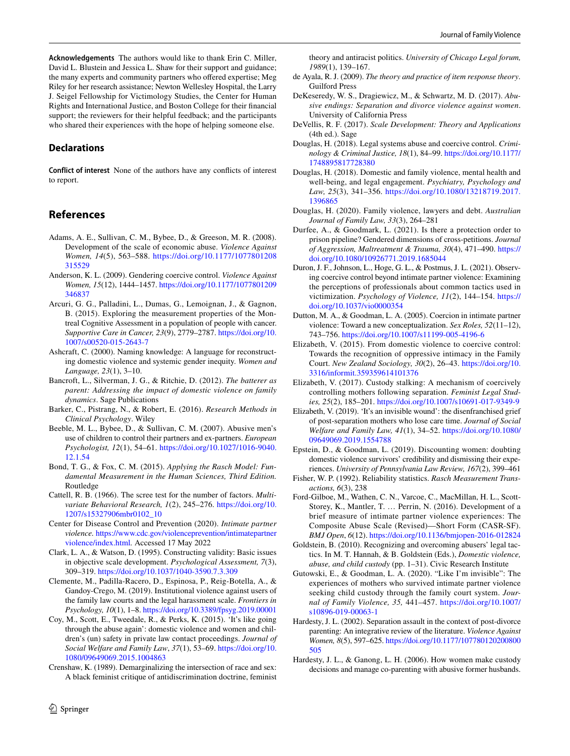**Acknowledgements** The authors would like to thank Erin C. Miller, David L. Blustein and Jessica L. Shaw for their support and guidance; the many experts and community partners who ofered expertise; Meg Riley for her research assistance; Newton Wellesley Hospital, the Larry J. Seigel Fellowship for Victimology Studies, the Center for Human Rights and International Justice, and Boston College for their fnancial support; the reviewers for their helpful feedback; and the participants who shared their experiences with the hope of helping someone else.

# **Declarations**

**Conflict of interest** None of the authors have any conficts of interest to report.

# **References**

- <span id="page-13-1"></span>Adams, A. E., Sullivan, C. M., Bybee, D., & Greeson, M. R. (2008). Development of the scale of economic abuse. *Violence Against Women, 14*(5), 563–588. [https://doi.org/10.1177/1077801208](https://doi.org/10.1177/1077801208315529) [315529](https://doi.org/10.1177/1077801208315529)
- <span id="page-13-13"></span>Anderson, K. L. (2009). Gendering coercive control. *Violence Against Women, 15*(12), 1444–1457. [https://doi.org/10.1177/1077801209](https://doi.org/10.1177/1077801209346837) [346837](https://doi.org/10.1177/1077801209346837)
- <span id="page-13-26"></span>Arcuri, G. G., Palladini, L., Dumas, G., Lemoignan, J., & Gagnon, B. (2015). Exploring the measurement properties of the Montreal Cognitive Assessment in a population of people with cancer. *Supportive Care in Cancer, 23*(9), 2779–2787. [https://doi.org/10.](https://doi.org/10.1007/s00520-015-2643-7) [1007/s00520-015-2643-7](https://doi.org/10.1007/s00520-015-2643-7)
- <span id="page-13-31"></span>Ashcraft, C. (2000). Naming knowledge: A language for reconstructing domestic violence and systemic gender inequity. *Women and Language, 23*(1), 3–10.
- <span id="page-13-5"></span>Bancroft, L., Silverman, J. G., & Ritchie, D. (2012). *The batterer as parent: Addressing the impact of domestic violence on family dynamics*. Sage Publications
- <span id="page-13-29"></span>Barker, C., Pistrang, N., & Robert, E. (2016). *Research Methods in Clinical Psychology*. Wiley
- <span id="page-13-23"></span>Beeble, M. L., Bybee, D., & Sullivan, C. M. (2007). Abusive men's use of children to control their partners and ex-partners. *European Psychologist, 12*(1), 54–61. [https://doi.org/10.1027/1016-9040.](https://doi.org/10.1027/1016-9040.12.1.54) [12.1.54](https://doi.org/10.1027/1016-9040.12.1.54)
- <span id="page-13-27"></span>Bond, T. G., & Fox, C. M. (2015). *Applying the Rasch Model: Fundamental Measurement in the Human Sciences, Third Edition.* Routledge
- <span id="page-13-24"></span>Cattell, R. B. (1966). The scree test for the number of factors. *Multivariate Behavioral Research, 1*(2), 245–276. [https://doi.org/10.](https://doi.org/10.1207/s15327906mbr0102_10) [1207/s15327906mbr0102\\_10](https://doi.org/10.1207/s15327906mbr0102_10)
- <span id="page-13-0"></span>Center for Disease Control and Prevention (2020). *Intimate partner violence.* [https://www.cdc.gov/violenceprevention/intimatepartner](https://www.cdc.gov/violenceprevention/intimatepartnerviolence/index.html) [violence/index.html](https://www.cdc.gov/violenceprevention/intimatepartnerviolence/index.html)*.* Accessed 17 May 2022
- <span id="page-13-20"></span>Clark, L. A., & Watson, D. (1995). Constructing validity: Basic issues in objective scale development. *Psychological Assessment, 7*(3), 309–319.<https://doi.org/10.1037/1040-3590.7.3.309>
- <span id="page-13-19"></span>Clemente, M., Padilla-Racero, D., Espinosa, P., Reig-Botella, A., & Gandoy-Crego, M. (2019). Institutional violence against users of the family law courts and the legal harassment scale. *Frontiers in Psychology, 10*(1), 1–8.<https://doi.org/10.3389/fpsyg.2019.00001>
- <span id="page-13-6"></span>Coy, M., Scott, E., Tweedale, R., & Perks, K. (2015). 'It's like going through the abuse again': domestic violence and women and children's (un) safety in private law contact proceedings. *Journal of Social Welfare and Family Law*, *37*(1), 53–69. [https://doi.org/10.](https://doi.org/10.1080/09649069.2015.1004863) [1080/09649069.2015.1004863](https://doi.org/10.1080/09649069.2015.1004863)
- <span id="page-13-14"></span>Crenshaw, K. (1989). Demarginalizing the intersection of race and sex: A black feminist critique of antidiscrimination doctrine, feminist

theory and antiracist politics. *University of Chicago Legal forum, 1989*(1), 139–167.

- <span id="page-13-25"></span>de Ayala, R. J. (2009). *The theory and practice of item response theory*. Guilford Press
- <span id="page-13-2"></span>DeKeseredy, W. S., Dragiewicz, M., & Schwartz, M. D. (2017). *Abusive endings: Separation and divorce violence against women*. University of California Press
- <span id="page-13-21"></span>DeVellis, R. F. (2017). *Scale Development: Theory and Applications* (4th ed.). Sage
- <span id="page-13-7"></span>Douglas, H. (2018). Legal systems abuse and coercive control. *Criminology & Criminal Justice, 18*(1), 84–99. [https://doi.org/10.1177/](https://doi.org/10.1177/1748895817728380) [1748895817728380](https://doi.org/10.1177/1748895817728380)
- <span id="page-13-18"></span>Douglas, H. (2018). Domestic and family violence, mental health and well-being, and legal engagement. *Psychiatry, Psychology and Law, 25*(3), 341–356. [https://doi.org/10.1080/13218719.2017.](https://doi.org/10.1080/13218719.2017.1396865) [1396865](https://doi.org/10.1080/13218719.2017.1396865)
- <span id="page-13-9"></span>Douglas, H. (2020). Family violence, lawyers and debt. *Australian Journal of Family Law, 33*(3), 264–281
- <span id="page-13-30"></span>Durfee, A., & Goodmark, L. (2021). Is there a protection order to prison pipeline? Gendered dimensions of cross-petitions. *Journal of Aggression, Maltreatment & Trauma, 30*(4), 471–490. [https://](https://doi.org/10.1080/10926771.2019.1685044) [doi.org/10.1080/10926771.2019.1685044](https://doi.org/10.1080/10926771.2019.1685044)
- <span id="page-13-12"></span>Duron, J. F., Johnson, L., Hoge, G. L., & Postmus, J. L. (2021). Observing coercive control beyond intimate partner violence: Examining the perceptions of professionals about common tactics used in victimization. *Psychology of Violence, 11*(2), 144–154. [https://](https://doi.org/10.1037/vio0000354) [doi.org/10.1037/vio0000354](https://doi.org/10.1037/vio0000354)
- <span id="page-13-11"></span>Dutton, M. A., & Goodman, L. A. (2005). Coercion in intimate partner violence: Toward a new conceptualization. *Sex Roles, 52*(11–12), 743–756.<https://doi.org/10.1007/s11199-005-4196-6>
- <span id="page-13-15"></span>Elizabeth, V. (2015). From domestic violence to coercive control: Towards the recognition of oppressive intimacy in the Family Court. *New Zealand Sociology, 30*(2), 26–43. [https://doi.org/10.](https://doi.org/10.3316/informit.359359614101376) [3316/informit.359359614101376](https://doi.org/10.3316/informit.359359614101376)
- <span id="page-13-8"></span>Elizabeth, V. (2017). Custody stalking: A mechanism of coercively controlling mothers following separation. *Feminist Legal Studies, 25*(2), 185–201.<https://doi.org/10.1007/s10691-017-9349-9>
- <span id="page-13-17"></span>Elizabeth, V. (2019). 'It's an invisible wound': the disenfranchised grief of post-separation mothers who lose care time. *Journal of Social Welfare and Family Law, 41*(1), 34–52. [https://doi.org/10.1080/](https://doi.org/10.1080/09649069.2019.1554788) [09649069.2019.1554788](https://doi.org/10.1080/09649069.2019.1554788)
- <span id="page-13-32"></span>Epstein, D., & Goodman, L. (2019). Discounting women: doubting domestic violence survivors' credibility and dismissing their experiences. *University of Pennsylvania Law Review, 167*(2), 399–461
- <span id="page-13-28"></span>Fisher, W. P. (1992). Reliability statistics. *Rasch Measurement Transactions, 6*(3), 238
- <span id="page-13-22"></span>Ford-Gilboe, M., Wathen, C. N., Varcoe, C., MacMillan, H. L., Scott-Storey, K., Mantler, T. … Perrin, N. (2016). Development of a brief measure of intimate partner violence experiences: The Composite Abuse Scale (Revised)—Short Form (CASR-SF). *BMJ Open*, *6*(12).<https://doi.org/10.1136/bmjopen-2016-012824>
- <span id="page-13-16"></span>Goldstein, B. (2010). Recognizing and overcoming abusers' legal tactics. In M. T. Hannah, & B. Goldstein (Eds.), *Domestic violence, abuse, and child custody* (pp. 1–31). Civic Research Institute
- <span id="page-13-10"></span>Gutowski, E., & Goodman, L. A. (2020). "Like I'm invisible": The experiences of mothers who survived intimate partner violence seeking child custody through the family court system. *Journal of Family Violence, 35,* 441–457. [https://doi.org/10.1007/](https://doi.org/10.1007/s10896-019-00063-1) [s10896-019-00063-1](https://doi.org/10.1007/s10896-019-00063-1)
- <span id="page-13-3"></span>Hardesty, J. L. (2002). Separation assault in the context of post-divorce parenting: An integrative review of the literature. *Violence Against Women, 8*(5), 597–625. [https://doi.org/10.1177/107780120200800](https://doi.org/10.1177/107780120200800505) [505](https://doi.org/10.1177/107780120200800505)
- <span id="page-13-4"></span>Hardesty, J. L., & Ganong, L. H. (2006). How women make custody decisions and manage co-parenting with abusive former husbands.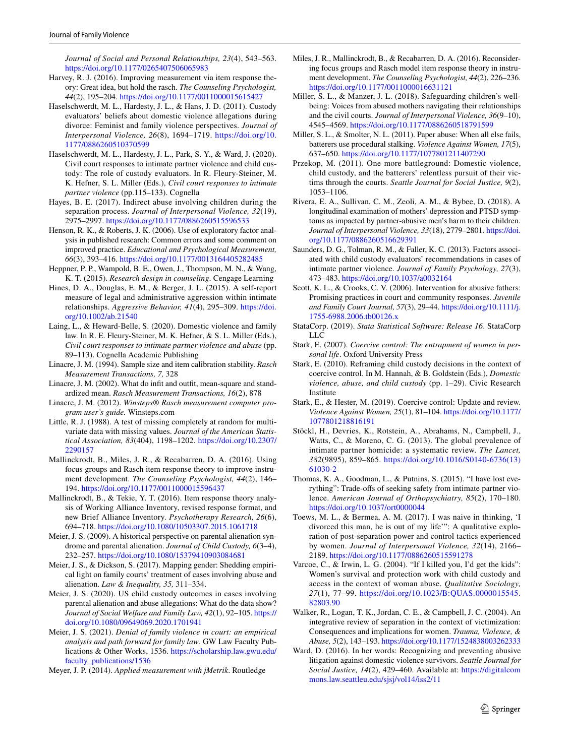*Journal of Social and Personal Relationships, 23*(4), 543–563. <https://doi.org/10.1177/0265407506065983>

- <span id="page-14-33"></span>Harvey, R. J. (2016). Improving measurement via item response theory: Great idea, but hold the rasch. *The Counseling Psychologist, 44*(2), 195–204.<https://doi.org/10.1177/0011000015615427>
- <span id="page-14-8"></span>Haselschwerdt, M. L., Hardesty, J. L., & Hans, J. D. (2011). Custody evaluators' beliefs about domestic violence allegations during divorce: Feminist and family violence perspectives. *Journal of Interpersonal Violence, 26*(8), 1694–1719. [https://doi.org/10.](https://doi.org/10.1177/0886260510370599) [1177/0886260510370599](https://doi.org/10.1177/0886260510370599)
- <span id="page-14-9"></span>Haselschwerdt, M. L., Hardesty, J. L., Park, S. Y., & Ward, J. (2020). Civil court responses to intimate partner violence and child custody: The role of custody evaluators. In R. Fleury-Steiner, M. K. Hefner, S. L. Miller (Eds.), *Civil court responses to intimate partner violence* (pp.115–133). Cognella
- <span id="page-14-3"></span>Hayes, B. E. (2017). Indirect abuse involving children during the separation process. *Journal of Interpersonal Violence, 32*(19), 2975–2997. <https://doi.org/10.1177/0886260515596533>
- <span id="page-14-27"></span>Henson, R. K., & Roberts, J. K. (2006). Use of exploratory factor analysis in published research: Common errors and some comment on improved practice. *Educational and Psychological Measurement, 66*(3), 393–416.<https://doi.org/10.1177/0013164405282485>
- <span id="page-14-23"></span>Heppner, P. P., Wampold, B. E., Owen, J., Thompson, M. N., & Wang, K. T. (2015). *Research design in counseling*. Cengage Learning
- <span id="page-14-22"></span>Hines, D. A., Douglas, E. M., & Berger, J. L. (2015). A self-report measure of legal and administrative aggression within intimate relationships. *Aggressive Behavior, 41*(4), 295–309. [https://doi.](https://doi.org/10.1002/ab.21540) [org/10.1002/ab.21540](https://doi.org/10.1002/ab.21540)
- <span id="page-14-7"></span>Laing, L., & Heward-Belle, S. (2020). Domestic violence and family law. In R. E. Fleury-Steiner, M. K. Hefner, & S. L. Miller (Eds.), *Civil court responses to intimate partner violence and abuse* (pp. 89–113). Cognella Academic Publishing
- <span id="page-14-28"></span>Linacre, J. M. (1994). Sample size and item calibration stability. *Rasch Measurement Transactions, 7,* 328
- <span id="page-14-31"></span>Linacre, J. M. (2002). What do inft and outft, mean-square and standardized mean. *Rasch Measurement Transactions, 16*(2), 878
- <span id="page-14-30"></span>Linacre, J. M. (2012). *Winsteps® Rasch measurement computer program user's guide.* Winsteps.com
- <span id="page-14-24"></span>Little, R. J. (1988). A test of missing completely at random for multivariate data with missing values. *Journal of the American Statistical Association, 83*(404), 1198–1202. [https://doi.org/10.2307/](https://doi.org/10.2307/2290157) [2290157](https://doi.org/10.2307/2290157)
- <span id="page-14-29"></span>Mallinckrodt, B., Miles, J. R., & Recabarren, D. A. (2016). Using focus groups and Rasch item response theory to improve instrument development. *The Counseling Psychologist, 44*(2), 146– 194.<https://doi.org/10.1177/0011000015596437>
- <span id="page-14-32"></span>Mallinckrodt, B., & Tekie, Y. T. (2016). Item response theory analysis of Working Alliance Inventory, revised response format, and new Brief Alliance Inventory. *Psychotherapy Research, 26*(6), 694–718.<https://doi.org/10.1080/10503307.2015.1061718>
- <span id="page-14-10"></span>Meier, J. S. (2009). A historical perspective on parental alienation syndrome and parental alienation. *Journal of Child Custody, 6*(3–4), 232–257.<https://doi.org/10.1080/15379410903084681>
- <span id="page-14-13"></span>Meier, J. S., & Dickson, S. (2017). Mapping gender: Shedding empirical light on family courts' treatment of cases involving abuse and alienation. *Law & Inequality, 35,* 311–334.
- <span id="page-14-14"></span>Meier, J. S. (2020). US child custody outcomes in cases involving parental alienation and abuse allegations: What do the data show? *Journal of Social Welfare and Family Law, 42*(1), 92–105. [https://](https://doi.org/10.1080/09649069.2020.1701941) [doi.org/10.1080/09649069.2020.1701941](https://doi.org/10.1080/09649069.2020.1701941)
- <span id="page-14-15"></span>Meier, J. S. (2021). *Denial of family violence in court: an empirical analysis and path forward for family law*. GW Law Faculty Publications & Other Works, 1536. [https://scholarship.law.gwu.edu/](https://scholarship.law.gwu.edu/faculty_publications/1536) [faculty\\_publications/1536](https://scholarship.law.gwu.edu/faculty_publications/1536)
- <span id="page-14-26"></span>Meyer, J. P. (2014). *Applied measurement with jMetrik*. Routledge
- <span id="page-14-34"></span>Miles, J. R., Mallinckrodt, B., & Recabarren, D. A. (2016). Reconsidering focus groups and Rasch model item response theory in instrument development. *The Counseling Psychologist, 44*(2), 226–236. <https://doi.org/10.1177/0011000016631121>
- <span id="page-14-21"></span>Miller, S. L., & Manzer, J. L. (2018). Safeguarding children's wellbeing: Voices from abused mothers navigating their relationships and the civil courts. *Journal of Interpersonal Violence, 36*(9–10), 4545–4569.<https://doi.org/10.1177/0886260518791599>
- <span id="page-14-4"></span>Miller, S. L., & Smolter, N. L. (2011). Paper abuse: When all else fails, batterers use procedural stalking. *Violence Against Women, 17*(5), 637–650.<https://doi.org/10.1177/1077801211407290>
- <span id="page-14-18"></span>Przekop, M. (2011). One more battleground: Domestic violence, child custody, and the batterers' relentless pursuit of their victims through the courts. *Seattle Journal for Social Justice, 9*(2), 1053–1106.
- <span id="page-14-5"></span>Rivera, E. A., Sullivan, C. M., Zeoli, A. M., & Bybee, D. (2018). A longitudinal examination of mothers' depression and PTSD symptoms as impacted by partner-abusive men's harm to their children. *Journal of Interpersonal Violence, 33*(18), 2779–2801. [https://doi.](https://doi.org/10.1177/0886260516629391) [org/10.1177/0886260516629391](https://doi.org/10.1177/0886260516629391)
- <span id="page-14-11"></span>Saunders, D. G., Tolman, R. M., & Faller, K. C. (2013). Factors associated with child custody evaluators' recommendations in cases of intimate partner violence. *Journal of Family Psychology, 27*(3), 473–483.<https://doi.org/10.1037/a0032164>
- <span id="page-14-35"></span>Scott, K. L., & Crooks, C. V. (2006). Intervention for abusive fathers: Promising practices in court and community responses. *Juvenile and Family Court Journal, 57*(3), 29–44. [https://doi.org/10.1111/j.](https://doi.org/10.1111/j.1755-6988.2006.tb00126.x) [1755-6988.2006.tb00126.x](https://doi.org/10.1111/j.1755-6988.2006.tb00126.x)
- <span id="page-14-25"></span>StataCorp. (2019). *Stata Statistical Software: Release 16*. StataCorp LLC
- <span id="page-14-16"></span>Stark, E. (2007). *Coercive control: The entrapment of women in personal life*. Oxford University Press
- <span id="page-14-12"></span>Stark, E. (2010). Reframing child custody decisions in the context of coercive control. In M. Hannah, & B. Goldstein (Eds.), *Domestic violence, abuse, and child custody* (pp. 1–29). Civic Research Institute
- <span id="page-14-17"></span>Stark, E., & Hester, M. (2019). Coercive control: Update and review. *Violence Against Women, 25*(1), 81–104. [https://doi.org/10.1177/](https://doi.org/10.1177/1077801218816191) [1077801218816191](https://doi.org/10.1177/1077801218816191)
- <span id="page-14-0"></span>Stöckl, H., Devries, K., Rotstein, A., Abrahams, N., Campbell, J., Watts, C., & Moreno, C. G. (2013). The global prevalence of intimate partner homicide: a systematic review. *The Lancet, 382*(9895), 859–865. [https://doi.org/10.1016/S0140-6736\(13\)](https://doi.org/10.1016/S0140-6736(13)61030-2) [61030-2](https://doi.org/10.1016/S0140-6736(13)61030-2)
- <span id="page-14-1"></span>Thomas, K. A., Goodman, L., & Putnins, S. (2015). "I have lost everything": Trade-ofs of seeking safety from intimate partner violence. *American Journal of Orthopsychiatry, 85*(2), 170–180. <https://doi.org/10.1037/ort0000044>
- <span id="page-14-19"></span>Toews, M. L., & Bermea, A. M. (2017). I was naive in thinking, 'I divorced this man, he is out of my life'": A qualitative exploration of post-separation power and control tactics experienced by women. *Journal of Interpersonal Violence, 32*(14), 2166– 2189. <https://doi.org/10.1177/0886260515591278>
- <span id="page-14-20"></span>Varcoe, C., & Irwin, L. G. (2004). "If I killed you, I'd get the kids": Women's survival and protection work with child custody and access in the context of woman abuse. *Qualitative Sociology, 27*(1), 77–99. [https://doi.org/10.1023/B:QUAS.0000015545.](https://doi.org/10.1023/B:QUAS.0000015545.82803.90) [82803.90](https://doi.org/10.1023/B:QUAS.0000015545.82803.90)
- <span id="page-14-2"></span>Walker, R., Logan, T. K., Jordan, C. E., & Campbell, J. C. (2004). An integrative review of separation in the context of victimization: Consequences and implications for women. *Trauma, Violence, & Abuse, 5*(2), 143–193.<https://doi.org/10.1177/1524838003262333>
- <span id="page-14-6"></span>Ward, D. (2016). In her words: Recognizing and preventing abusive litigation against domestic violence survivors. *Seattle Journal for Social Justice, 14*(2), 429–460. Available at: [https://digitalcom](https://digitalcommons.law.seattleu.edu/sjsj/vol14/iss2/11) [mons.law.seattleu.edu/sjsj/vol14/iss2/11](https://digitalcommons.law.seattleu.edu/sjsj/vol14/iss2/11)